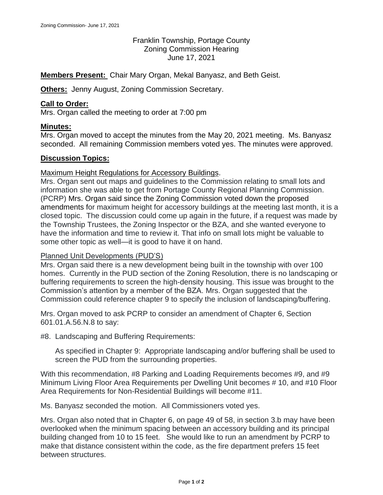# Franklin Township, Portage County Zoning Commission Hearing June 17, 2021

**Members Present:** Chair Mary Organ, Mekal Banyasz, and Beth Geist.

**Others:** Jenny August, Zoning Commission Secretary.

### **Call to Order:**

Mrs. Organ called the meeting to order at 7:00 pm

## **Minutes:**

Mrs. Organ moved to accept the minutes from the May 20, 2021 meeting. Ms. Banyasz seconded. All remaining Commission members voted yes. The minutes were approved.

## **Discussion Topics:**

## Maximum Height Regulations for Accessory Buildings.

Mrs. Organ sent out maps and guidelines to the Commission relating to small lots and information she was able to get from Portage County Regional Planning Commission. (PCRP) Mrs. Organ said since the Zoning Commission voted down the proposed amendments for maximum height for accessory buildings at the meeting last month, it is a closed topic. The discussion could come up again in the future, if a request was made by the Township Trustees, the Zoning Inspector or the BZA, and she wanted everyone to have the information and time to review it. That info on small lots might be valuable to some other topic as well—it is good to have it on hand.

#### Planned Unit Developments (PUD'S)

Mrs. Organ said there is a new development being built in the township with over 100 homes. Currently in the PUD section of the Zoning Resolution, there is no landscaping or buffering requirements to screen the high-density housing. This issue was brought to the Commission's attention by a member of the BZA. Mrs. Organ suggested that the Commission could reference chapter 9 to specify the inclusion of landscaping/buffering.

Mrs. Organ moved to ask PCRP to consider an amendment of Chapter 6, Section 601.01.A.56.N.8 to say:

#8. Landscaping and Buffering Requirements:

As specified in Chapter 9: Appropriate landscaping and/or buffering shall be used to screen the PUD from the surrounding properties.

With this recommendation, #8 Parking and Loading Requirements becomes #9, and #9 Minimum Living Floor Area Requirements per Dwelling Unit becomes # 10, and #10 Floor Area Requirements for Non-Residential Buildings will become #11.

Ms. Banyasz seconded the motion. All Commissioners voted yes.

Mrs. Organ also noted that in Chapter 6, on page 49 of 58, in section 3.b may have been overlooked when the minimum spacing between an accessory building and its principal building changed from 10 to 15 feet. She would like to run an amendment by PCRP to make that distance consistent within the code, as the fire department prefers 15 feet between structures.